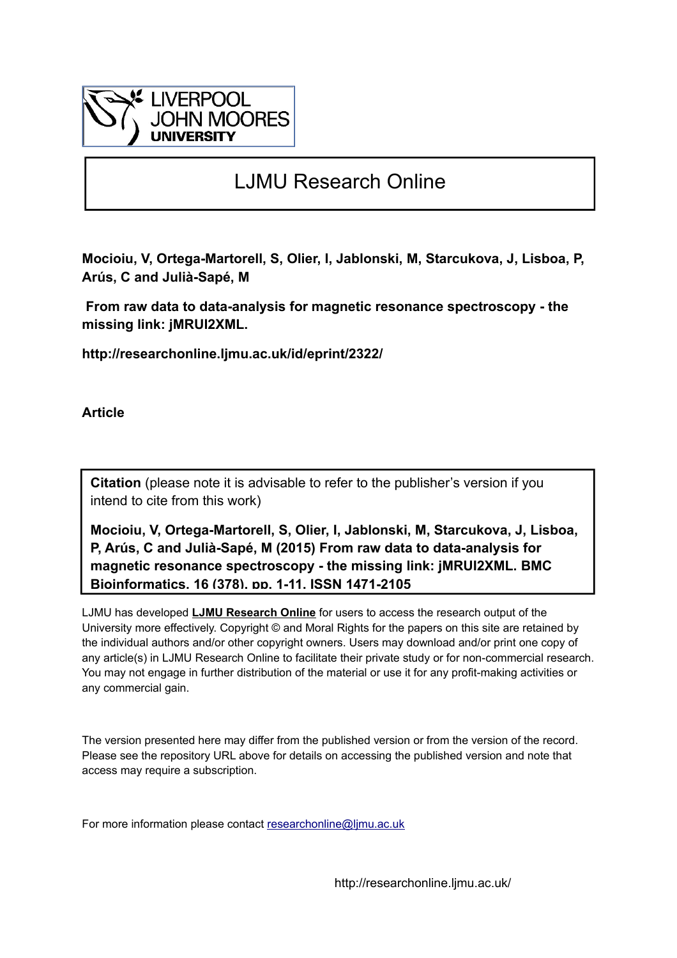

# LJMU Research Online

**Mocioiu, V, Ortega-Martorell, S, Olier, I, Jablonski, M, Starcukova, J, Lisboa, P, Arús, C and Julià-Sapé, M**

 **From raw data to data-analysis for magnetic resonance spectroscopy - the missing link: jMRUI2XML.**

**http://researchonline.ljmu.ac.uk/id/eprint/2322/**

**Article**

**Citation** (please note it is advisable to refer to the publisher's version if you intend to cite from this work)

**Mocioiu, V, Ortega-Martorell, S, Olier, I, Jablonski, M, Starcukova, J, Lisboa, P, Arús, C and Julià-Sapé, M (2015) From raw data to data-analysis for magnetic resonance spectroscopy - the missing link: jMRUI2XML. BMC Bioinformatics, 16 (378). pp. 1-11. ISSN 1471-2105** 

LJMU has developed **[LJMU Research Online](http://researchonline.ljmu.ac.uk/)** for users to access the research output of the University more effectively. Copyright © and Moral Rights for the papers on this site are retained by the individual authors and/or other copyright owners. Users may download and/or print one copy of any article(s) in LJMU Research Online to facilitate their private study or for non-commercial research. You may not engage in further distribution of the material or use it for any profit-making activities or any commercial gain.

The version presented here may differ from the published version or from the version of the record. Please see the repository URL above for details on accessing the published version and note that access may require a subscription.

For more information please contact researchonline@limu.ac.uk

http://researchonline.ljmu.ac.uk/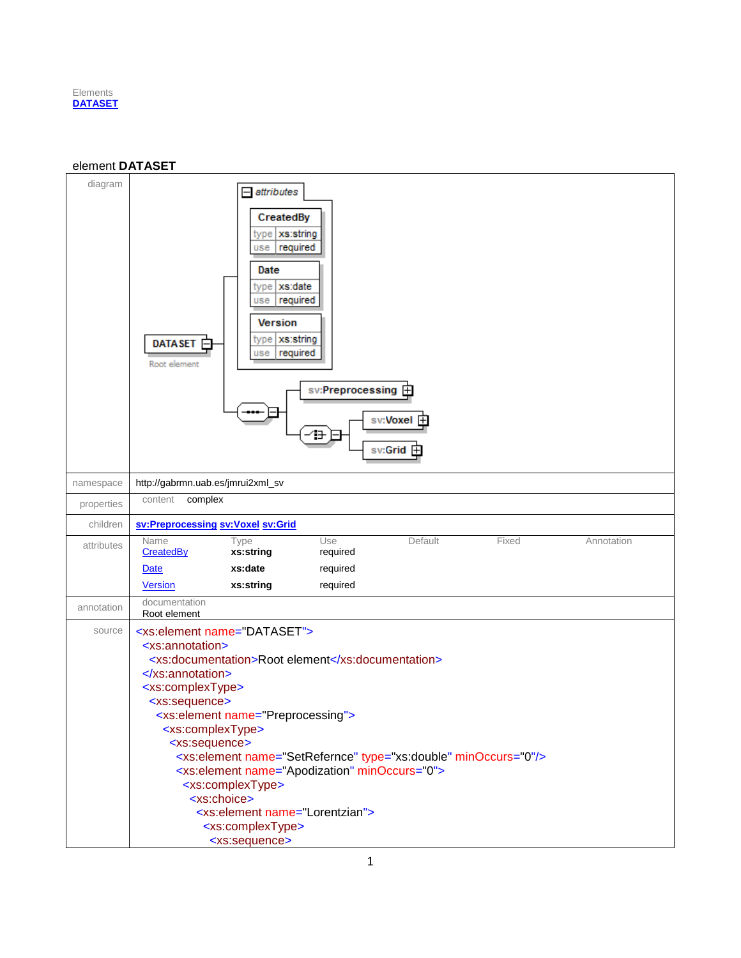

#### <span id="page-1-0"></span>element **DATASET**

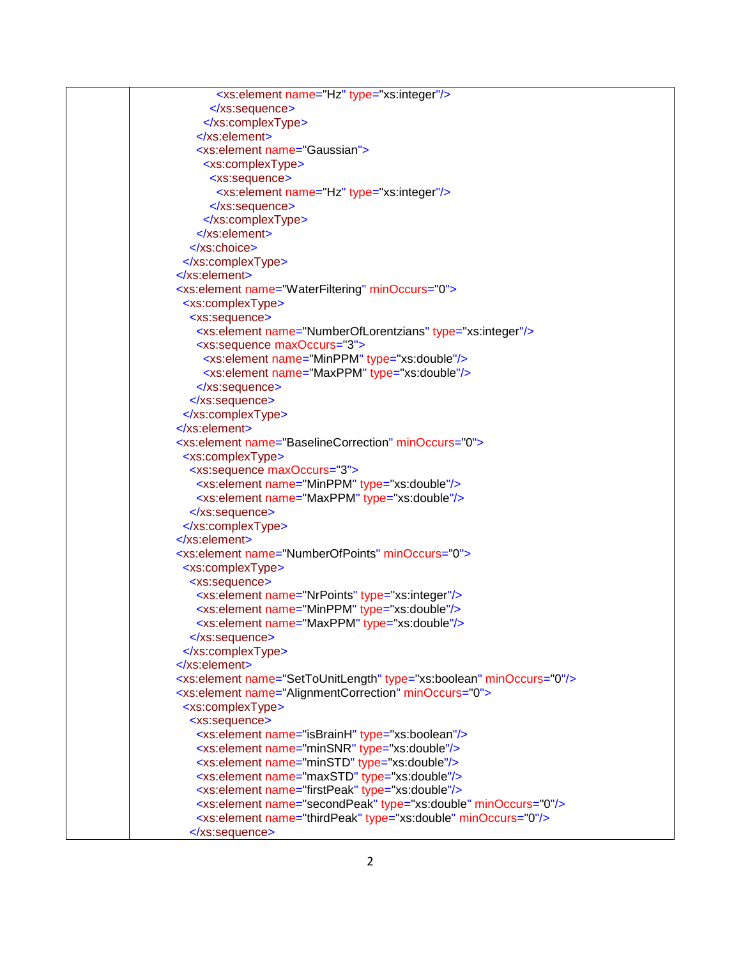| <xs:element name="Hz" type="xs:integer"></xs:element>                            |
|----------------------------------------------------------------------------------|
|                                                                                  |
|                                                                                  |
|                                                                                  |
| <xs:element name="Gaussian"></xs:element>                                        |
| <xs:complextype></xs:complextype>                                                |
| <xs:sequence></xs:sequence>                                                      |
| <xs:element name="Hz" type="xs:integer"></xs:element>                            |
|                                                                                  |
|                                                                                  |
| $\le$ /xs:element>                                                               |
| $\langle$ xs:choice>                                                             |
|                                                                                  |
| $\langle$ xs:element                                                             |
| <xs:element minoccurs="0" name="WaterFiltering"></xs:element>                    |
| <xs:complextype></xs:complextype>                                                |
| <xs:sequence></xs:sequence>                                                      |
| <xs:element name="NumberOfLorentzians" type="xs:integer"></xs:element>           |
| <xs:sequence maxoccurs="3"></xs:sequence>                                        |
| <xs:element name="MinPPM" type="xs:double"></xs:element>                         |
| <xs:element name="MaxPPM" type="xs:double"></xs:element>                         |
|                                                                                  |
|                                                                                  |
|                                                                                  |
| $\le$ /xs:element>                                                               |
| <xs:element minoccurs="0" name="BaselineCorrection"></xs:element>                |
| <xs:complextype></xs:complextype>                                                |
| <xs:sequence maxoccurs="3"></xs:sequence>                                        |
| <xs:element name="MinPPM" type="xs:double"></xs:element>                         |
| <xs:element name="MaxPPM" type="xs:double"></xs:element>                         |
|                                                                                  |
|                                                                                  |
| $\langle$ xs:element>                                                            |
| <xs:element minoccurs="0" name="NumberOfPoints"></xs:element>                    |
| <xs:complextype></xs:complextype>                                                |
| <xs:sequence></xs:sequence>                                                      |
| <xs:element name="NrPoints" type="xs:integer"></xs:element>                      |
| <xs:element name="MinPPM" type="xs:double"></xs:element>                         |
| <xs:element name="MaxPPM" type="xs:double"></xs:element>                         |
|                                                                                  |
|                                                                                  |
| $\langle$ xs:element>                                                            |
| <xs:element minoccurs="0" name="SetToUnitLength" type="xs:boolean"></xs:element> |
| <xs:element minoccurs="0" name="AlignmentCorrection"></xs:element>               |
| <xs:complextype></xs:complextype>                                                |
| <xs:sequence></xs:sequence>                                                      |
| <xs:element name="isBrainH" type="xs:boolean"></xs:element>                      |
| <xs:element name="minSNR" type="xs:double"></xs:element>                         |
| <xs:element name="minSTD" type="xs:double"></xs:element>                         |
| <xs:element name="maxSTD" type="xs:double"></xs:element>                         |
| <xs:element name="firstPeak" type="xs:double"></xs:element>                      |
| <xs:element minoccurs="0" name="secondPeak" type="xs:double"></xs:element>       |
| <xs:element minoccurs="0" name="thirdPeak" type="xs:double"></xs:element>        |
|                                                                                  |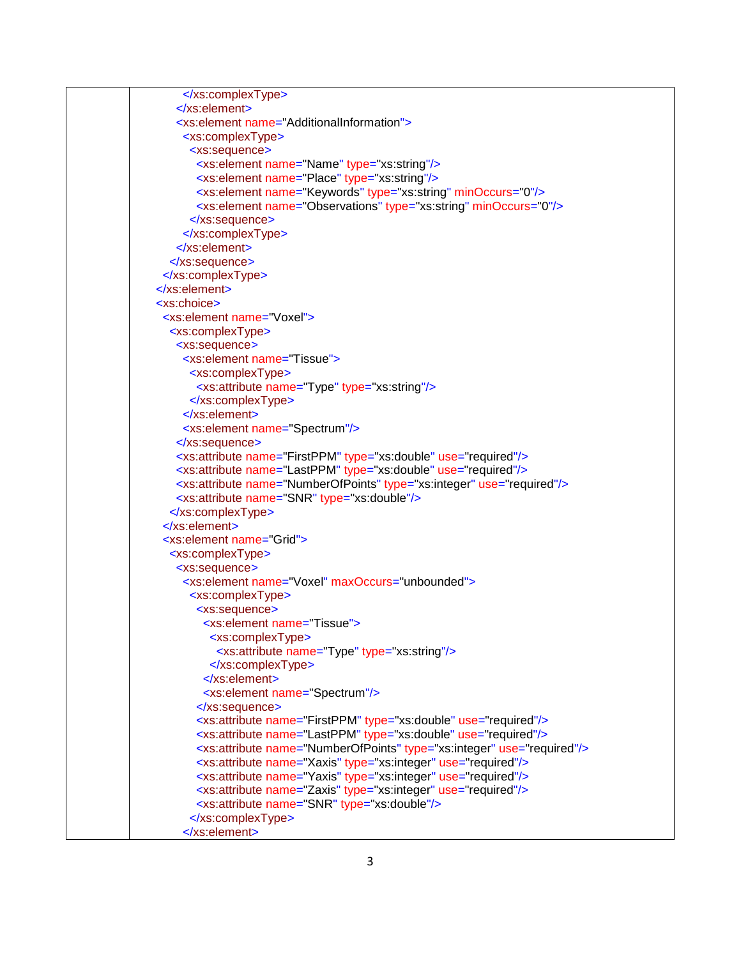| $\le$ /xs:element>                                                                   |
|--------------------------------------------------------------------------------------|
| <xs:element name="AdditionalInformation"></xs:element>                               |
| <xs:complextype></xs:complextype>                                                    |
| <xs:sequence></xs:sequence>                                                          |
| <xs:element name="Name" type="xs:string"></xs:element>                               |
| <xs:element name="Place" type="xs:string"></xs:element>                              |
| <xs:element minoccurs="0" name="Keywords" type="xs:string"></xs:element>             |
| <xs:element minoccurs="0" name="Observations" type="xs:string"></xs:element>         |
|                                                                                      |
|                                                                                      |
| $\le$ /xs:element>                                                                   |
|                                                                                      |
|                                                                                      |
| $\le$ /xs:element>                                                                   |
| <xs:choice></xs:choice>                                                              |
| <xs:element name="Voxel"></xs:element>                                               |
| <xs:complextype></xs:complextype>                                                    |
| <xs:sequence></xs:sequence>                                                          |
| <xs:element name="Tissue"></xs:element>                                              |
| <xs:complextype></xs:complextype>                                                    |
| <xs:attribute name="Type" type="xs:string"></xs:attribute>                           |
|                                                                                      |
| $\langle$ xs:element>                                                                |
| <xs:element name="Spectrum"></xs:element>                                            |
|                                                                                      |
| <xs:attribute name="FirstPPM" type="xs:double" use="required"></xs:attribute>        |
| <xs:attribute name="LastPPM" type="xs:double" use="required"></xs:attribute>         |
| <xs:attribute name="NumberOfPoints" type="xs:integer" use="required"></xs:attribute> |
| <xs:attribute name="SNR" type="xs:double"></xs:attribute>                            |
|                                                                                      |
| $\langle$ xs:element>                                                                |
| <xs:element name="Grid"></xs:element>                                                |
| <xs:complextype></xs:complextype>                                                    |
| <xs:sequence></xs:sequence>                                                          |
| <xs:element maxoccurs="unbounded" name="Voxel"></xs:element>                         |
| <xs:complextype></xs:complextype>                                                    |
| <xs:sequence></xs:sequence>                                                          |
| <xs:element name="Tissue"></xs:element>                                              |
| <xs:complextype></xs:complextype>                                                    |
| <xs:attribute name="Type" type="xs:string"></xs:attribute>                           |
|                                                                                      |
| $\le$ /xs:element>                                                                   |
| <xs:element name="Spectrum"></xs:element>                                            |
|                                                                                      |
| <xs:attribute name="FirstPPM" type="xs:double" use="required"></xs:attribute>        |
| <xs:attribute name="LastPPM" type="xs:double" use="required"></xs:attribute>         |
| <xs:attribute name="NumberOfPoints" type="xs:integer" use="required"></xs:attribute> |
| <xs:attribute name="Xaxis" type="xs:integer" use="required"></xs:attribute>          |
| <xs:attribute name="Yaxis" type="xs:integer" use="required"></xs:attribute>          |
| <xs:attribute name="Zaxis" type="xs:integer" use="required"></xs:attribute>          |
| <xs:attribute name="SNR" type="xs:double"></xs:attribute>                            |
|                                                                                      |
|                                                                                      |
|                                                                                      |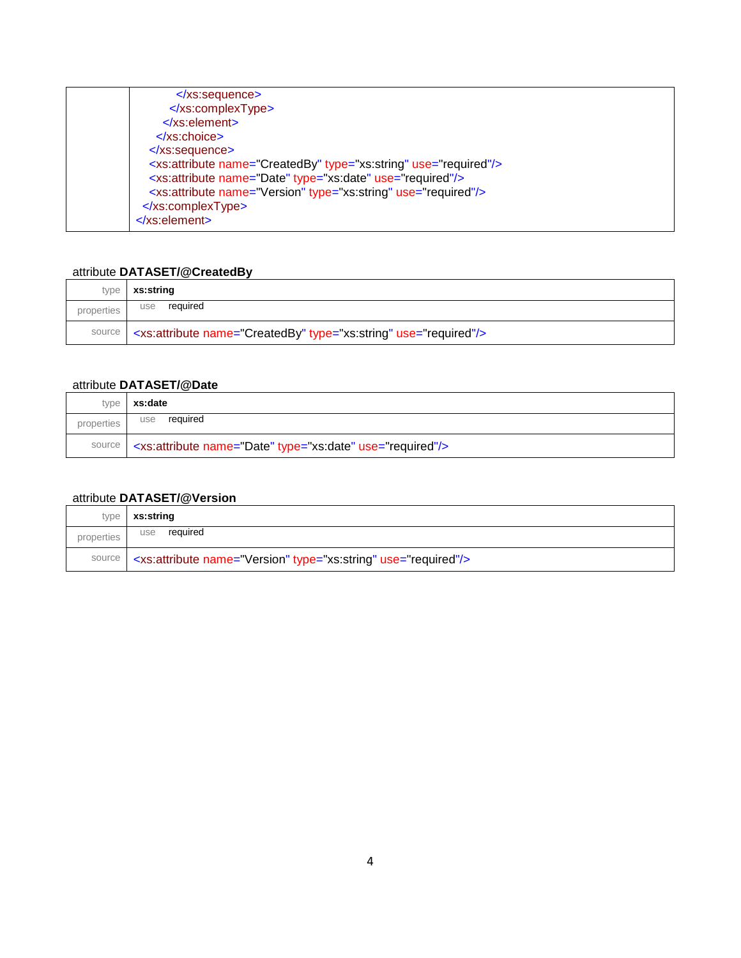| $\langle$ xs:sequence>                                                         |
|--------------------------------------------------------------------------------|
|                                                                                |
| $\langle$ xs:element                                                           |
| $\langle$ xs:choice>                                                           |
| $\langle$ xs:sequence>                                                         |
| <xs:attribute name="CreatedBy" type="xs:string" use="required"></xs:attribute> |
| <xs:attribute name="Date" type="xs:date" use="required"></xs:attribute>        |
| <xs:attribute name="Version" type="xs:string" use="required"></xs:attribute>   |
|                                                                                |
| $\le$ /xs:element>                                                             |
|                                                                                |

# <span id="page-4-0"></span>attribute **DATASET/@CreatedBy**

| type       | xs:string                                                                               |
|------------|-----------------------------------------------------------------------------------------|
| properties | required<br>use                                                                         |
|            | source   <xs:attribute name="CreatedBy" type="xs:string" use="required"></xs:attribute> |

## <span id="page-4-1"></span>attribute **DATASET/@Date**

| type       | xs:date                                                                      |
|------------|------------------------------------------------------------------------------|
| properties | required<br>use                                                              |
|            | source   <xs: attribute="" name="Date" type="xs: date" use="required"></xs:> |

## <span id="page-4-2"></span>attribute **DATASET/@Version**

|            | type   xs:string                                                                  |
|------------|-----------------------------------------------------------------------------------|
| properties | required<br>use                                                                   |
|            | source   <xs: attribute="" name="Version" type="xs: string" use="required"></xs:> |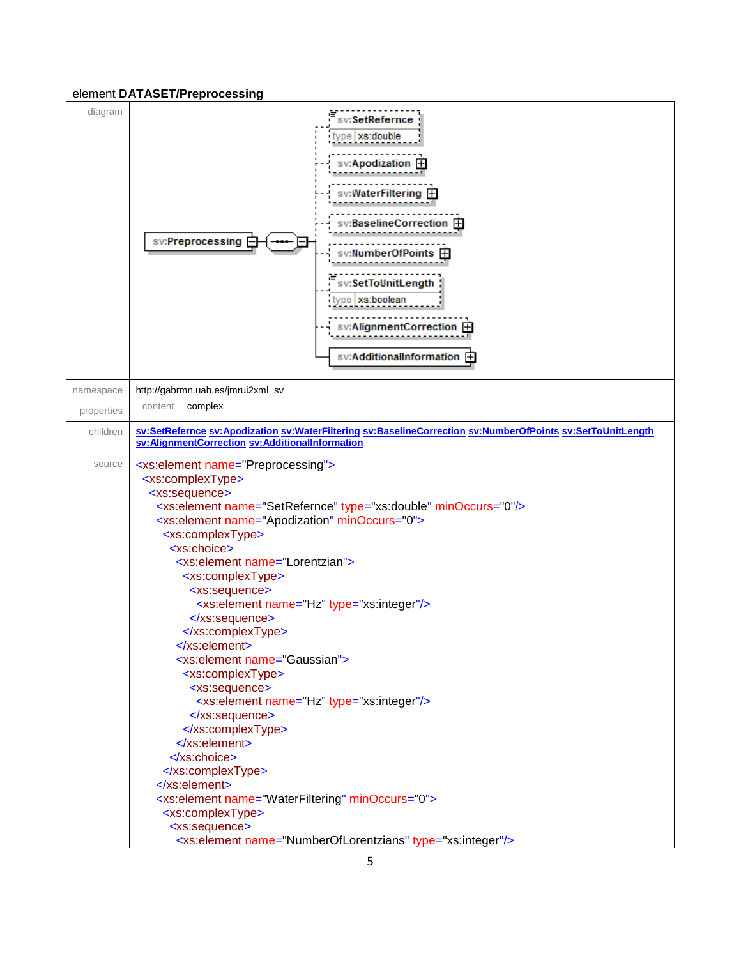#### <span id="page-5-0"></span>element **DATASET/Preprocessing**

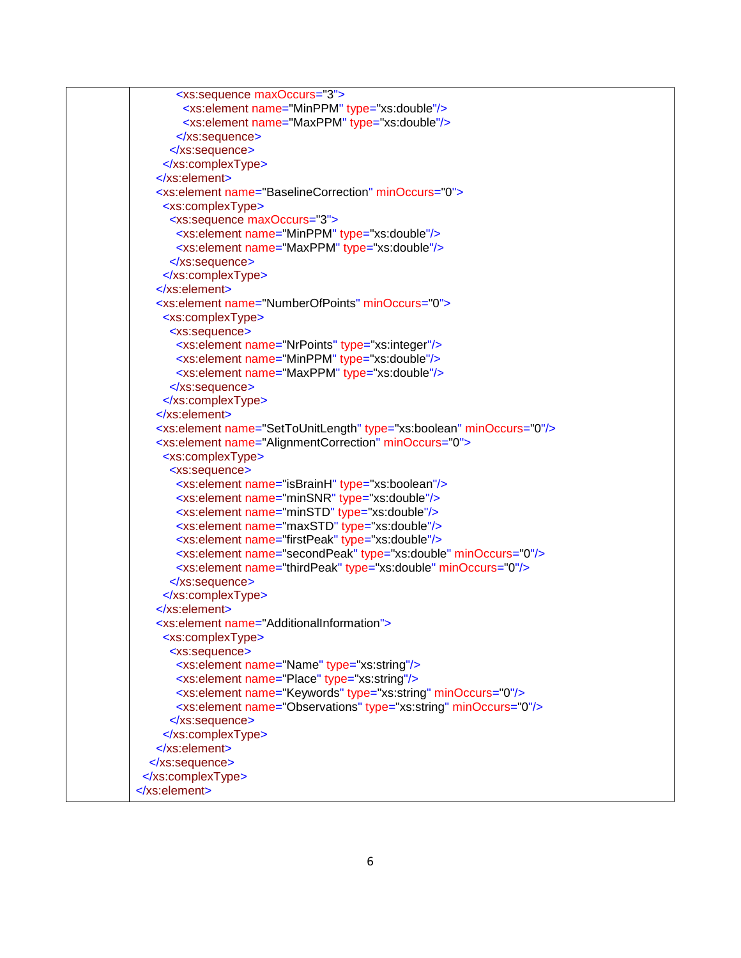| <xs:sequence maxoccurs="3"></xs:sequence>                                        |
|----------------------------------------------------------------------------------|
| <xs:element name="MinPPM" type="xs:double"></xs:element>                         |
| <xs:element name="MaxPPM" type="xs:double"></xs:element>                         |
|                                                                                  |
|                                                                                  |
|                                                                                  |
| $\le$ /xs:element>                                                               |
| <xs:element minoccurs="0" name="BaselineCorrection"></xs:element>                |
| <xs:complextype></xs:complextype>                                                |
| <xs:sequence maxoccurs="3"></xs:sequence>                                        |
| <xs:element name="MinPPM" type="xs:double"></xs:element>                         |
| <xs:element name="MaxPPM" type="xs:double"></xs:element>                         |
|                                                                                  |
|                                                                                  |
| $\le$ /xs:element>                                                               |
| <xs:element minoccurs="0" name="NumberOfPoints"></xs:element>                    |
| <xs:complextype></xs:complextype>                                                |
| <xs:sequence></xs:sequence>                                                      |
| <xs:element name="NrPoints" type="xs:integer"></xs:element>                      |
| <xs:element name="MinPPM" type="xs:double"></xs:element>                         |
| <xs:element name="MaxPPM" type="xs:double"></xs:element>                         |
|                                                                                  |
|                                                                                  |
| $\le$ /xs:element>                                                               |
| <xs:element minoccurs="0" name="SetToUnitLength" type="xs:boolean"></xs:element> |
| <xs:element minoccurs="0" name="AlignmentCorrection"></xs:element>               |
| <xs:complextype></xs:complextype>                                                |
| <xs:sequence></xs:sequence>                                                      |
| <xs:element name="isBrainH" type="xs:boolean"></xs:element>                      |
| <xs:element name="minSNR" type="xs:double"></xs:element>                         |
| <xs:element name="minSTD" type="xs:double"></xs:element>                         |
| <xs:element name="maxSTD" type="xs:double"></xs:element>                         |
| <xs:element name="firstPeak" type="xs:double"></xs:element>                      |
| <xs:element minoccurs="0" name="secondPeak" type="xs:double"></xs:element>       |
| <xs:element minoccurs="0" name="thirdPeak" type="xs:double"></xs:element>        |
|                                                                                  |
|                                                                                  |
| $\langle$ xs:element>                                                            |
| <xs:element name="AdditionalInformation"></xs:element>                           |
| <xs:complextype></xs:complextype>                                                |
| <xs:sequence></xs:sequence>                                                      |
| <xs:element name="Name" type="xs:string"></xs:element>                           |
| <xs:element name="Place" type="xs:string"></xs:element>                          |
| <xs:element minoccurs="0" name="Keywords" type="xs:string"></xs:element>         |
| <xs:element minoccurs="0" name="Observations" type="xs:string"></xs:element>     |
|                                                                                  |
|                                                                                  |
| $\le$ /xs:element>                                                               |
|                                                                                  |
|                                                                                  |
|                                                                                  |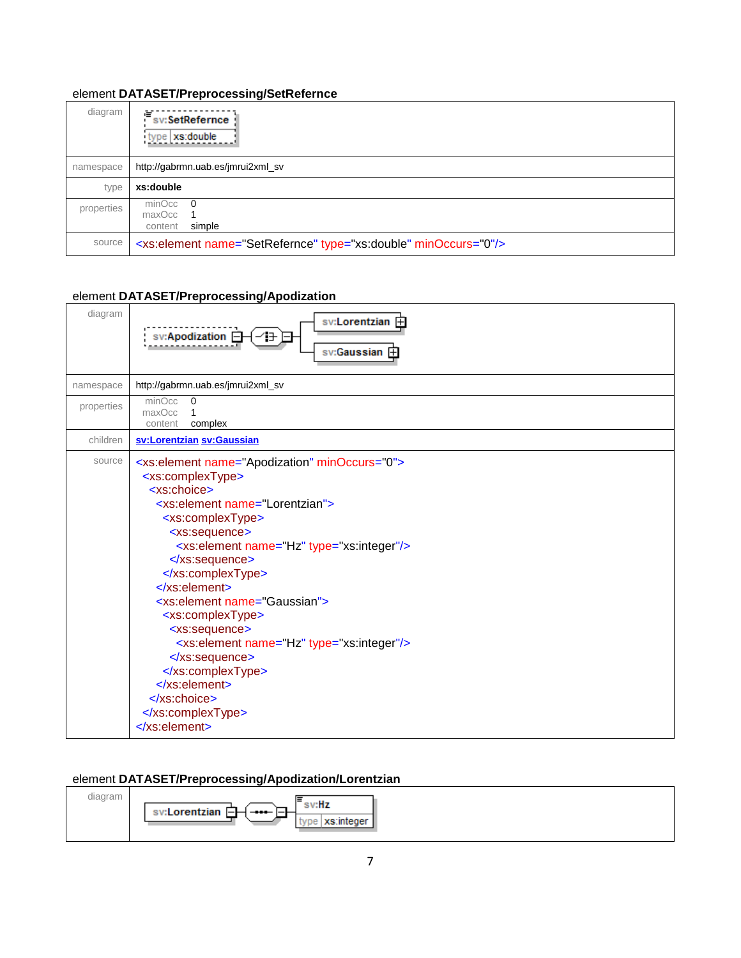## <span id="page-7-0"></span>element **DATASET/Preprocessing/SetRefernce**

| diagram    | 喧<br>sv:SetRefernce<br>type xs:double                                       |
|------------|-----------------------------------------------------------------------------|
| namespace  | http://gabrmn.uab.es/jmrui2xml_sv                                           |
| type       | xs:double                                                                   |
| properties | $minOcc$ 0<br>maxOcc 1<br>simple<br>content                                 |
| source     | <xs:element minoccurs="0" name="SetRefernce" type="xs:double"></xs:element> |

# <span id="page-7-1"></span>element **DATASET/Preprocessing/Apodization**

| diagram    | sv:Lorentzian 中<br>sv:Apodization <b>□</b><br>sv:Gaussian +                                                                                                                                                                                                                                                                                                                                                                                                                                                                                                                                                                                  |
|------------|----------------------------------------------------------------------------------------------------------------------------------------------------------------------------------------------------------------------------------------------------------------------------------------------------------------------------------------------------------------------------------------------------------------------------------------------------------------------------------------------------------------------------------------------------------------------------------------------------------------------------------------------|
| namespace  | http://gabrmn.uab.es/jmrui2xml_sv                                                                                                                                                                                                                                                                                                                                                                                                                                                                                                                                                                                                            |
| properties | minOcc<br>$\Omega$<br>maxOcc<br>1<br>complex<br>content                                                                                                                                                                                                                                                                                                                                                                                                                                                                                                                                                                                      |
| children   | sv:Lorentzian sv:Gaussian                                                                                                                                                                                                                                                                                                                                                                                                                                                                                                                                                                                                                    |
| source     | <xs:element minoccurs="0" name="Apodization"><br/><xs:complextype><br/><xs:choice><br/><xs:element name="Lorentzian"><br/><xs:complextype><br/><xs:sequence><br/><xs:element name="Hz" type="xs:integer"></xs:element><br/></xs:sequence><br/></xs:complextype><br/><math>\langle</math>xs:element&gt;<br/><xs:element name="Gaussian"><br/><xs:complextype><br/><xs:sequence><br/><xs:element name="Hz" type="xs:integer"></xs:element><br/></xs:sequence><br/></xs:complextype><br/><math>\langle</math>xs:element&gt;<br/><math>\langle</math>xs:choice&gt;<br/></xs:element></xs:element></xs:choice></xs:complextype><br/></xs:element> |

# <span id="page-7-2"></span>element **DATASET/Preprocessing/Apodization/Lorentzian**

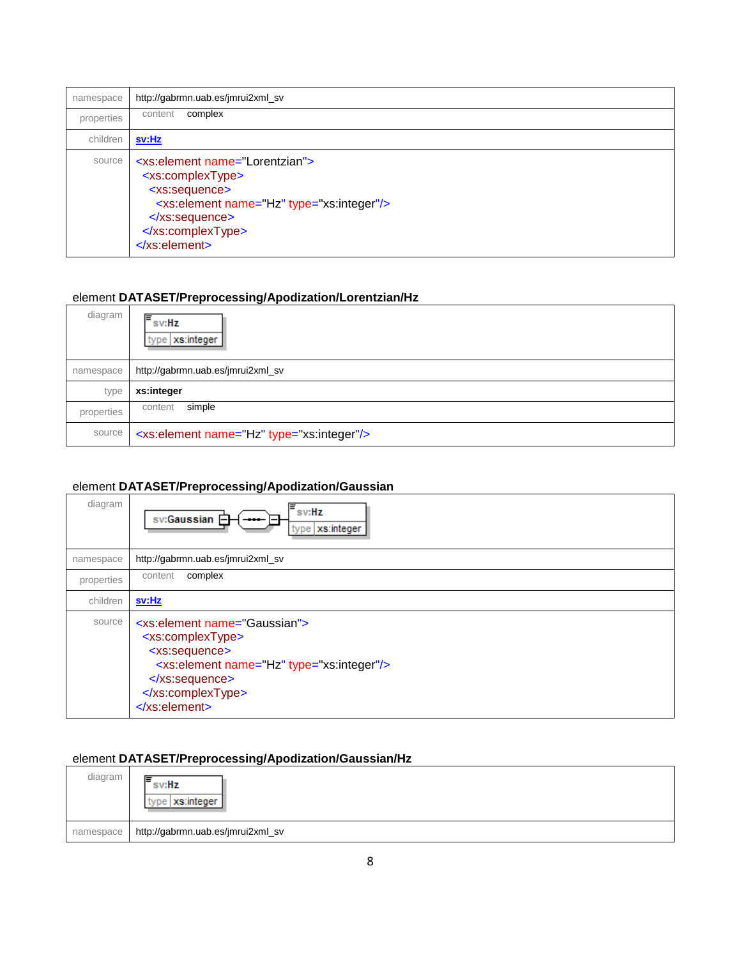| namespace  | http://gabrmn.uab.es/jmrui2xml_sv                                                                                                                                                                                         |
|------------|---------------------------------------------------------------------------------------------------------------------------------------------------------------------------------------------------------------------------|
| properties | complex<br>content                                                                                                                                                                                                        |
| children   | sv:Hz                                                                                                                                                                                                                     |
| source     | <xs:element name="Lorentzian"><br/><xs:complextype><br/><xs:sequence><br/><xs:element name="Hz" type="xs:integer"></xs:element><br/></xs:sequence><br/></xs:complextype><br/><math>\le</math>/xs:element&gt;</xs:element> |

# <span id="page-8-1"></span>element **DATASET/Preprocessing/Apodization/Lorentzian/Hz**

| diagram    | ⊫<br>sv:Hz<br>type   xs:integer                       |
|------------|-------------------------------------------------------|
| namespace  | http://gabrmn.uab.es/jmrui2xml_sv                     |
| type       | xs:integer                                            |
| properties | simple<br>content                                     |
| source     | <xs:element name="Hz" type="xs:integer"></xs:element> |

## <span id="page-8-0"></span>element **DATASET/Preprocessing/Apodization/Gaussian**

| diagram    | $\equiv$ sv:Hz<br>sv:Gaussian <b>□</b><br>-<br>xs:integer<br>type                                                                                                                                                          |
|------------|----------------------------------------------------------------------------------------------------------------------------------------------------------------------------------------------------------------------------|
| namespace  | http://gabrmn.uab.es/jmrui2xml_sv                                                                                                                                                                                          |
| properties | complex<br>content                                                                                                                                                                                                         |
| children   | sv:Hz                                                                                                                                                                                                                      |
| source     | <xs:element name="Gaussian"><br/><xs:complextype><br/><xs:sequence><br/><xs:element name="Hz" type="xs:integer"></xs:element><br/></xs:sequence><br/></xs:complextype><br/><math>\langle</math>xs:element&gt;</xs:element> |

## <span id="page-8-2"></span>element **DATASET/Preprocessing/Apodization/Gaussian/Hz**

| diagram   | ⊫<br>sv:Hz<br>type   xs:integer   |
|-----------|-----------------------------------|
| namespace | http://gabrmn.uab.es/jmrui2xml_sv |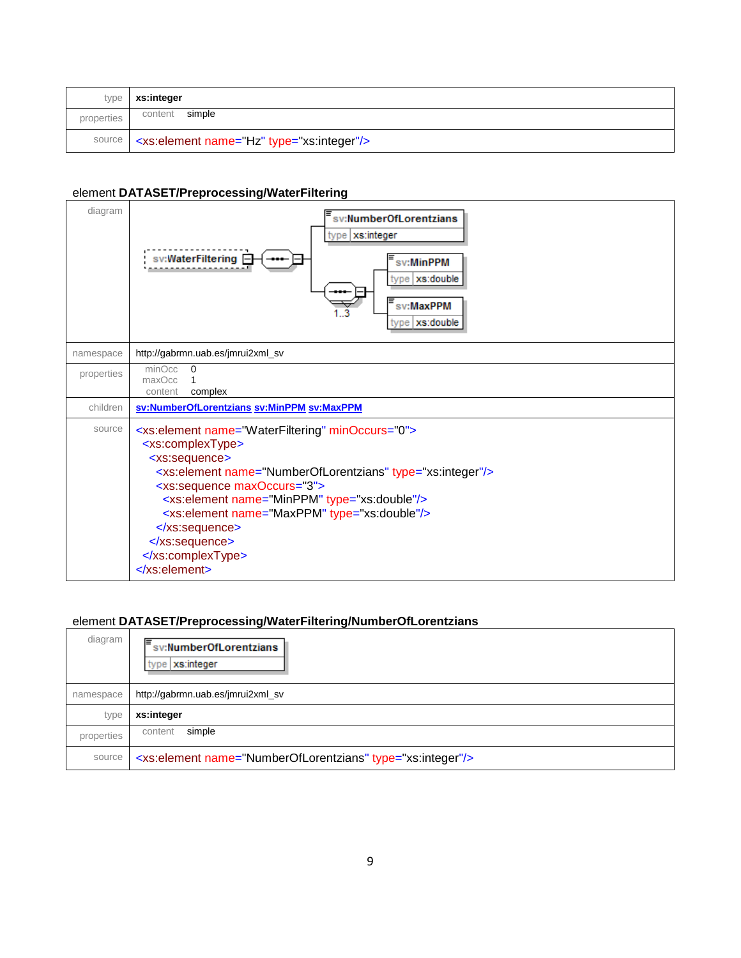| type       | xs:integer                                            |
|------------|-------------------------------------------------------|
| properties | simple<br>content                                     |
| source     | <xs:element name="Hz" type="xs:integer"></xs:element> |

# <span id="page-9-0"></span>element **DATASET/Preprocessing/WaterFiltering**

| diagram    | sv:NumberOfLorentzians<br>type   xs:integer<br>sv:WaterFiltering E<br>sv:MinPPM<br>type   xs:double<br>sv:MaxPPM<br>xs:double<br>type                                                                                                                                                                                                                                                                                                     |
|------------|-------------------------------------------------------------------------------------------------------------------------------------------------------------------------------------------------------------------------------------------------------------------------------------------------------------------------------------------------------------------------------------------------------------------------------------------|
| namespace  | http://gabrmn.uab.es/jmrui2xml_sv                                                                                                                                                                                                                                                                                                                                                                                                         |
| properties | minOcc<br>0<br>maxOcc<br>complex<br>content                                                                                                                                                                                                                                                                                                                                                                                               |
| children   | sv:NumberOfLorentzians sv:MinPPM sv:MaxPPM                                                                                                                                                                                                                                                                                                                                                                                                |
| source     | <xs:element minoccurs="0" name="WaterFiltering"><br/><xs:complextype><br/><xs:sequence><br/><xs:element name="NumberOfLorentzians" type="xs:integer"></xs:element><br/><xs:sequence maxoccurs="3"><br/><xs:element name="MinPPM" type="xs:double"></xs:element><br/><xs:element name="MaxPPM" type="xs:double"></xs:element><br/></xs:sequence><br/></xs:sequence><br/></xs:complextype><br/><math>\le</math>/xs:element&gt;</xs:element> |

# <span id="page-9-1"></span>element **DATASET/Preprocessing/WaterFiltering/NumberOfLorentzians**

| diagram    | sv:NumberOfLorentzians<br>type   xs:integer                            |
|------------|------------------------------------------------------------------------|
| namespace  | http://gabrmn.uab.es/jmrui2xml_sv                                      |
| type       | xs:integer                                                             |
| properties | simple<br>content                                                      |
| source     | <xs:element name="NumberOfLorentzians" type="xs:integer"></xs:element> |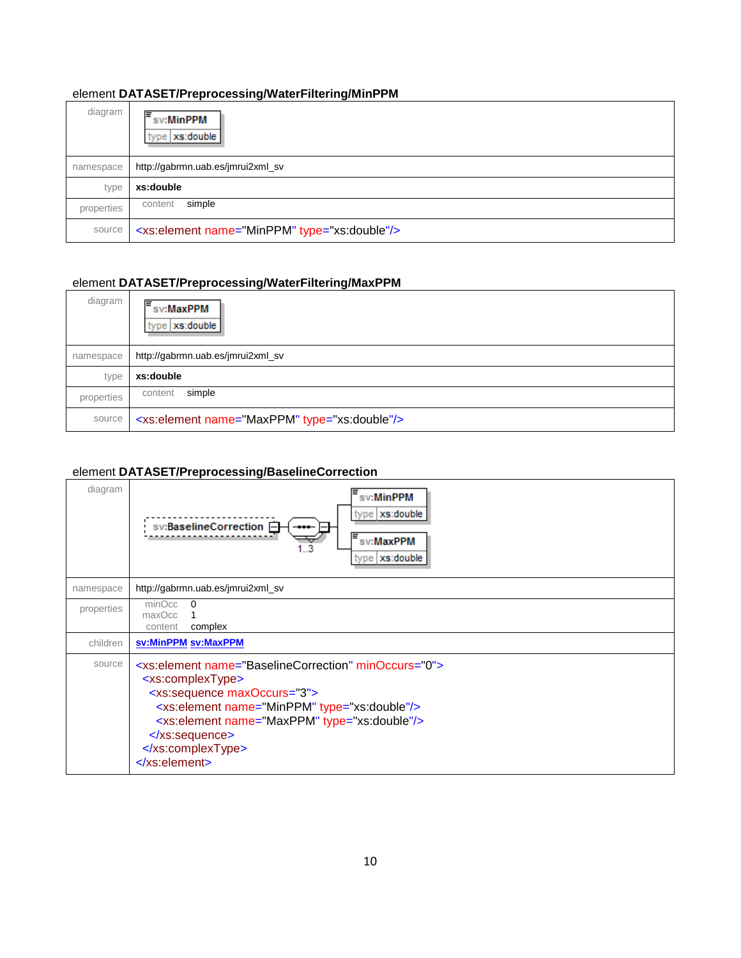#### <span id="page-10-1"></span>element **DATASET/Preprocessing/WaterFiltering/MinPPM**

| diagram    | ⊫<br>sv:MinPPM<br>type   xs:double                       |
|------------|----------------------------------------------------------|
| namespace  | http://gabrmn.uab.es/jmrui2xml_sv                        |
| type       | xs:double                                                |
| properties | simple<br>content                                        |
| source     | <xs:element name="MinPPM" type="xs:double"></xs:element> |

# <span id="page-10-2"></span>element **DATASET/Preprocessing/WaterFiltering/MaxPPM**

| diagram    | sv:MaxPPM<br>type   xs:double                            |
|------------|----------------------------------------------------------|
| namespace  | http://gabrmn.uab.es/jmrui2xml_sv                        |
| type       | xs:double                                                |
| properties | simple<br>content                                        |
| source     | <xs:element name="MaxPPM" type="xs:double"></xs:element> |

# <span id="page-10-0"></span>element **DATASET/Preprocessing/BaselineCorrection**

| diagram    | sv:MinPPM<br>type   xs:double<br>sv:BaselineCorrection <b>□</b><br>sv:MaxPPM<br>type   xs:double                                                                                                                                                                                                                                 |
|------------|----------------------------------------------------------------------------------------------------------------------------------------------------------------------------------------------------------------------------------------------------------------------------------------------------------------------------------|
| namespace  | http://gabrmn.uab.es/jmrui2xml_sv                                                                                                                                                                                                                                                                                                |
| properties | minOcc<br>$\Omega$<br>maxOcc<br>complex<br>content                                                                                                                                                                                                                                                                               |
| children   | sv:MinPPM sv:MaxPPM                                                                                                                                                                                                                                                                                                              |
| source     | <xs:element minoccurs="0" name="BaselineCorrection"><br/><xs:complextype><br/><xs:sequence maxoccurs="3"><br/><xs:element name="MinPPM" type="xs:double"></xs:element><br/><xs:element name="MaxPPM" type="xs:double"></xs:element><br/></xs:sequence><br/></xs:complextype><br/><math>\langle</math>xs:element&gt;</xs:element> |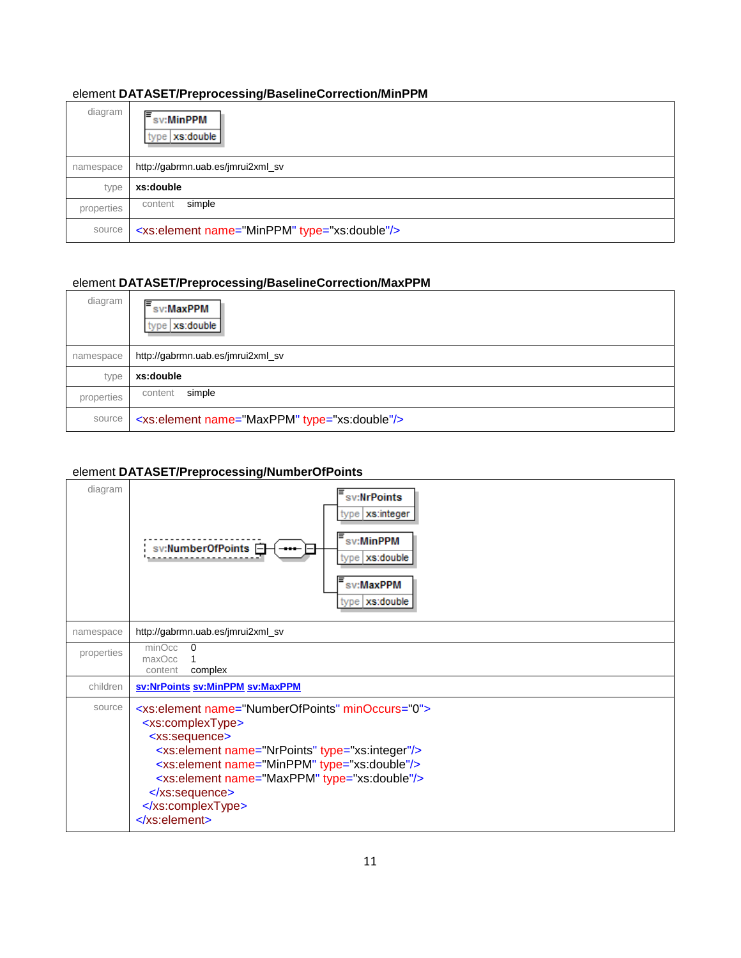## <span id="page-11-1"></span>element **DATASET/Preprocessing/BaselineCorrection/MinPPM**

| diagram    | Ε<br>sv:MinPPM<br>type   xs:double                       |
|------------|----------------------------------------------------------|
| namespace  | http://gabrmn.uab.es/jmrui2xml_sv                        |
| type       | xs:double                                                |
| properties | simple<br>content                                        |
| source     | <xs:element name="MinPPM" type="xs:double"></xs:element> |

# <span id="page-11-2"></span>element **DATASET/Preprocessing/BaselineCorrection/MaxPPM**

| diagram    | sv:MaxPPM<br>type   xs:double                            |
|------------|----------------------------------------------------------|
| namespace  | http://gabrmn.uab.es/jmrui2xml_sv                        |
| type       | xs:double                                                |
| properties | simple<br>content                                        |
| source     | <xs:element name="MaxPPM" type="xs:double"></xs:element> |

# <span id="page-11-0"></span>element **DATASET/Preprocessing/NumberOfPoints**

| diagram    | sv:NrPoints<br>type   xs:integer<br>sv:MinPPM<br>sv:NumberOfPoints <b>□</b><br>type   xs:double<br>sv:MaxPPM<br>type   xs:double                                                                                                                                                                                                                                            |
|------------|-----------------------------------------------------------------------------------------------------------------------------------------------------------------------------------------------------------------------------------------------------------------------------------------------------------------------------------------------------------------------------|
| namespace  | http://gabrmn.uab.es/jmrui2xml_sv                                                                                                                                                                                                                                                                                                                                           |
| properties | minOcc<br>$\Omega$<br>maxOcc<br>complex<br>content                                                                                                                                                                                                                                                                                                                          |
| children   | sv:NrPoints sv:MinPPM sv:MaxPPM                                                                                                                                                                                                                                                                                                                                             |
| source     | <xs:element minoccurs="0" name="NumberOfPoints"><br/><xs:complextype><br/><xs:sequence><br/><xs:element name="NrPoints" type="xs:integer"></xs:element><br/><xs:element name="MinPPM" type="xs:double"></xs:element><br/><xs:element name="MaxPPM" type="xs:double"></xs:element><br/></xs:sequence><br/></xs:complextype><br/><math>\le</math>/xs:element&gt;</xs:element> |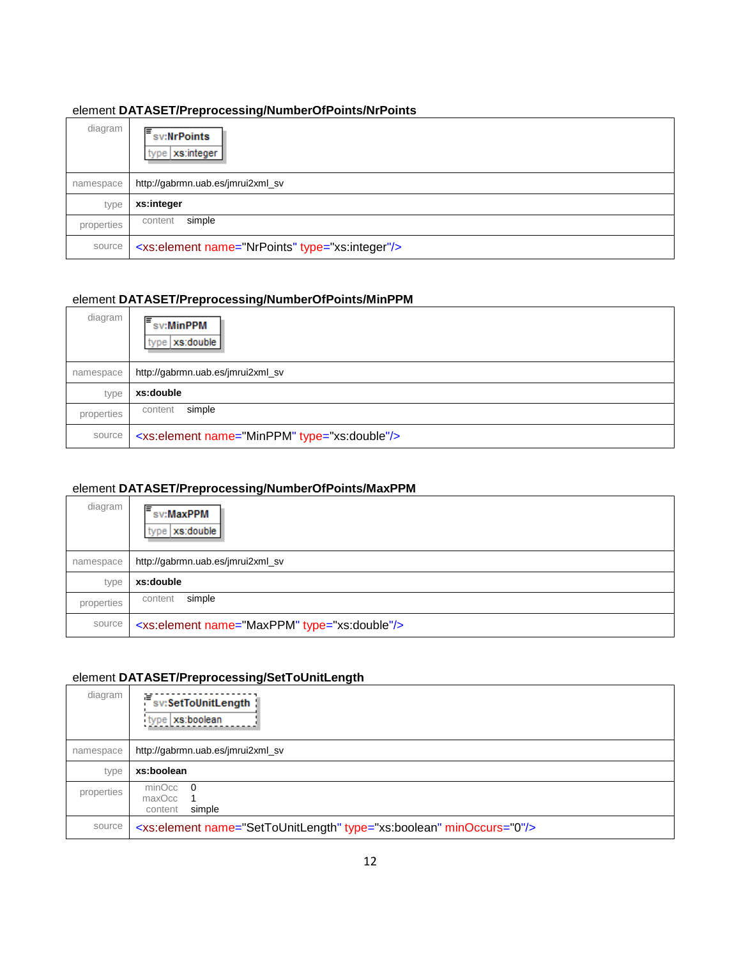# <span id="page-12-1"></span>element **DATASET/Preprocessing/NumberOfPoints/NrPoints**

| diagram    | ⊫<br>sv:NrPoints<br>type   xs:integer                       |
|------------|-------------------------------------------------------------|
| namespace  | http://gabrmn.uab.es/jmrui2xml_sv                           |
| type       | xs:integer                                                  |
| properties | simple<br>content                                           |
| source     | <xs:element name="NrPoints" type="xs:integer"></xs:element> |

# <span id="page-12-2"></span>element **DATASET/Preprocessing/NumberOfPoints/MinPPM**

| diagram    | sv:MinPPM<br>type   xs:double                            |
|------------|----------------------------------------------------------|
| namespace  | http://gabrmn.uab.es/jmrui2xml_sv                        |
| type       | xs:double                                                |
| properties | simple<br>content                                        |
| source     | <xs:element name="MinPPM" type="xs:double"></xs:element> |

# <span id="page-12-3"></span>element **DATASET/Preprocessing/NumberOfPoints/MaxPPM**

| diagram    | ıΞ<br>sv:MaxPPM<br>type   xs:double                      |
|------------|----------------------------------------------------------|
| namespace  | http://gabrmn.uab.es/jmrui2xml_sv                        |
| type       | xs:double                                                |
| properties | simple<br>content                                        |
| source     | <xs:element name="MaxPPM" type="xs:double"></xs:element> |

#### <span id="page-12-0"></span>element **DATASET/Preprocessing/SetToUnitLength**

| diagram    | 這<br>sv:SetToUnitLength<br>type xs:boolean                                       |
|------------|----------------------------------------------------------------------------------|
| namespace  | http://gabrmn.uab.es/jmrui2xml_sv                                                |
| type       | xs:boolean                                                                       |
| properties | $minOcc$ 0<br>maxOcc<br>simple<br>content                                        |
| source     | <xs:element minoccurs="0" name="SetToUnitLength" type="xs:boolean"></xs:element> |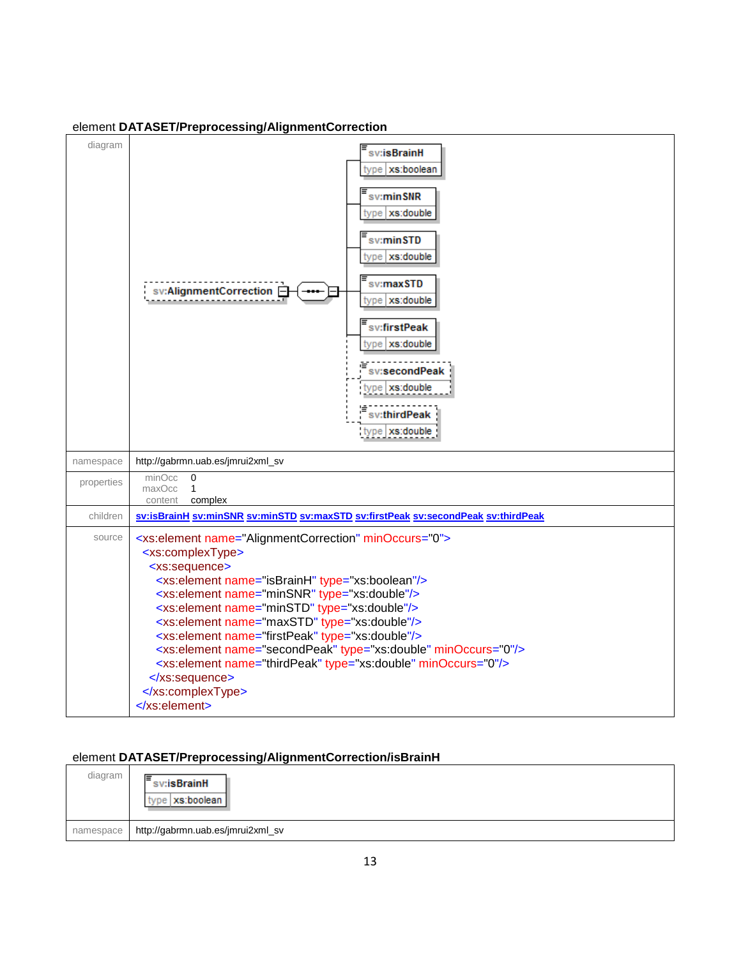| diagram    | sv:isBrainH<br>type   xs:boolean<br>sv:minSNR<br>type xs:double<br>sv:minSTD<br>type   xs:double<br>sv:maxSTD<br>sv:AlignmentCorrection -<br>type   xs:double<br>sv:firstPeak<br>type xs:double<br>sv:secondPeak<br>type   xs:double<br>sv:thirdPeak<br>type xs:double                                                                                                                                                                                                                                                                                                                                                                      |
|------------|---------------------------------------------------------------------------------------------------------------------------------------------------------------------------------------------------------------------------------------------------------------------------------------------------------------------------------------------------------------------------------------------------------------------------------------------------------------------------------------------------------------------------------------------------------------------------------------------------------------------------------------------|
| namespace  | http://gabrmn.uab.es/jmrui2xml_sv                                                                                                                                                                                                                                                                                                                                                                                                                                                                                                                                                                                                           |
| properties | minOcc<br>$\Omega$<br>maxOcc<br>$\mathbf{1}$<br>complex<br>content                                                                                                                                                                                                                                                                                                                                                                                                                                                                                                                                                                          |
| children   | sv:isBrainH sv:minSNR sv:minSTD sv:maxSTD sv:firstPeak sv:secondPeak sv:thirdPeak                                                                                                                                                                                                                                                                                                                                                                                                                                                                                                                                                           |
| source     | <xs:element minoccurs="0" name="AlignmentCorrection"><br/><xs:complextype><br/><xs:sequence><br/><xs:element name="isBrainH" type="xs:boolean"></xs:element><br/><xs:element name="minSNR" type="xs:double"></xs:element><br/><xs:element name="minSTD" type="xs:double"></xs:element><br/><xs:element name="maxSTD" type="xs:double"></xs:element><br/><xs:element name="firstPeak" type="xs:double"></xs:element><br/><xs:element minoccurs="0" name="secondPeak" type="xs:double"></xs:element><br/><xs:element minoccurs="0" name="thirdPeak" type="xs:double"></xs:element><br/></xs:sequence><br/></xs:complextype><br/></xs:element> |

# <span id="page-13-0"></span>element **DATASET/Preprocessing/AlignmentCorrection**

# <span id="page-13-1"></span>element **DATASET/Preprocessing/AlignmentCorrection/isBrainH**

| diagram   | ⊫<br>sv:isBrainH<br>:   xs:boolean |
|-----------|------------------------------------|
| namespace | http://gabrmn.uab.es/jmrui2xml_sv  |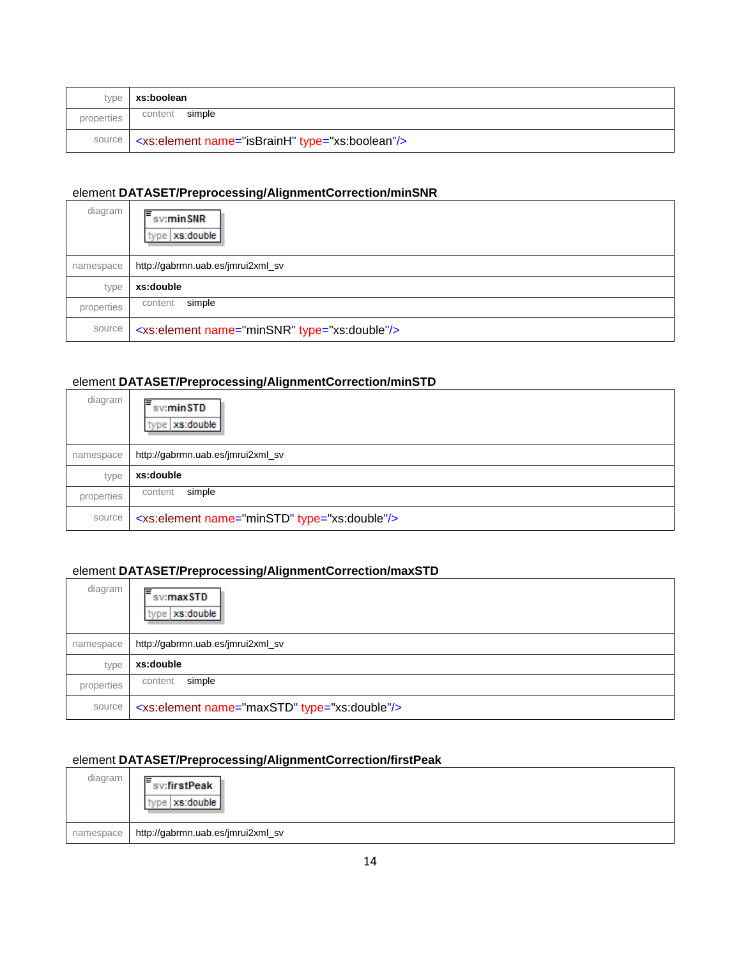|            | type   xs:boolean                                                    |
|------------|----------------------------------------------------------------------|
| properties | content simple                                                       |
|            | source   <xs:element name="isBrainH" type="xs:boolean"></xs:element> |

#### <span id="page-14-0"></span>element **DATASET/Preprocessing/AlignmentCorrection/minSNR**

| diagram    | lΞ<br>sv:minSNR<br>type   xs:double                      |
|------------|----------------------------------------------------------|
| namespace  | http://gabrmn.uab.es/jmrui2xml_sv                        |
| type       | xs:double                                                |
| properties | simple<br>content                                        |
| source     | <xs:element name="minSNR" type="xs:double"></xs:element> |

# <span id="page-14-1"></span>element **DATASET/Preprocessing/AlignmentCorrection/minSTD**

| diagram    | lΞ<br>sv:minSTD<br>type   xs:double                      |
|------------|----------------------------------------------------------|
| namespace  | http://gabrmn.uab.es/jmrui2xml_sv                        |
| type       | xs:double                                                |
| properties | simple<br>content                                        |
| source     | <xs:element name="minSTD" type="xs:double"></xs:element> |

# <span id="page-14-2"></span>element **DATASET/Preprocessing/AlignmentCorrection/maxSTD**

| diagram    | ⊫<br>sv:maxSTD<br>type   xs:double                       |
|------------|----------------------------------------------------------|
| namespace  | http://gabrmn.uab.es/jmrui2xml_sv                        |
| type       | xs:double                                                |
| properties | simple<br>content                                        |
| source     | <xs:element name="maxSTD" type="xs:double"></xs:element> |

# <span id="page-14-3"></span>element **DATASET/Preprocessing/AlignmentCorrection/firstPeak**

| diagram   | ⊫<br>sv:firstPeak<br>pe   xs:double |
|-----------|-------------------------------------|
| namespace | http://gabrmn.uab.es/jmrui2xml_sv   |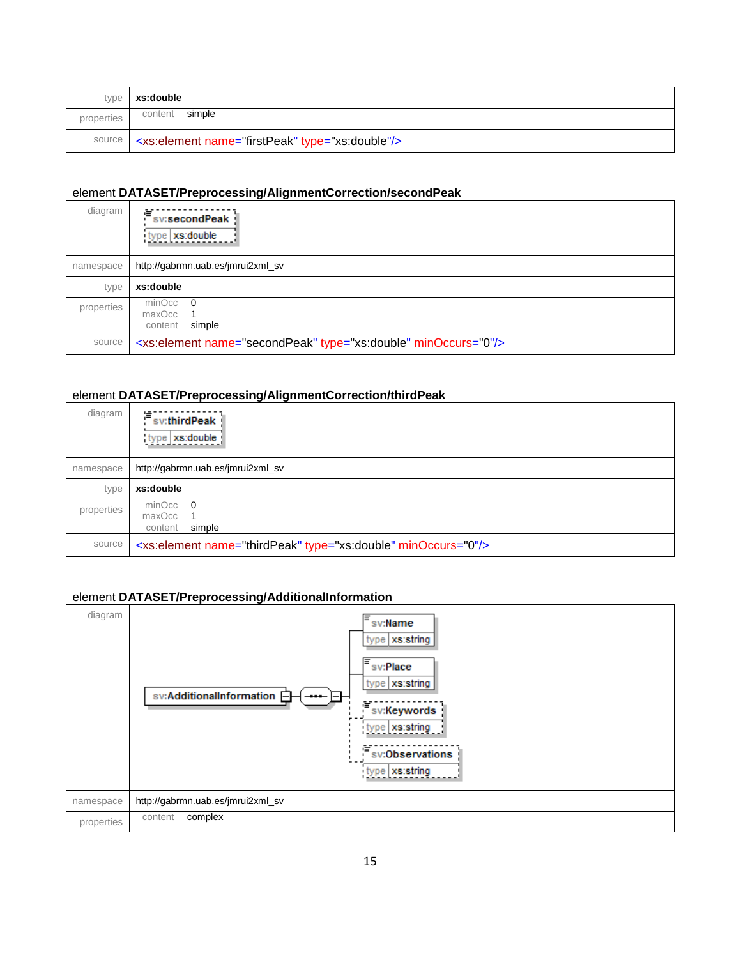| type       | xs:double                                                            |
|------------|----------------------------------------------------------------------|
| properties | simple<br>content                                                    |
|            | source   <xs:element name="firstPeak" type="xs:double"></xs:element> |

#### <span id="page-15-1"></span>element **DATASET/Preprocessing/AlignmentCorrection/secondPeak**

| diagram    | 喧<br>sv:secondPeak<br>type   xs:double                                     |
|------------|----------------------------------------------------------------------------|
| namespace  | http://gabrmn.uab.es/jmrui2xml_sv                                          |
| type       | xs:double                                                                  |
| properties | $minOcc$ 0<br>maxOcc<br>simple<br>content                                  |
| source     | <xs:element minoccurs="0" name="secondPeak" type="xs:double"></xs:element> |

# <span id="page-15-2"></span>element **DATASET/Preprocessing/AlignmentCorrection/thirdPeak**

| diagram    | 這<br>sv:thirdPeak<br>type   xs:double                                     |
|------------|---------------------------------------------------------------------------|
| namespace  | http://gabrmn.uab.es/jmrui2xml_sv                                         |
| type       | xs:double                                                                 |
| properties | $minOcc$ 0<br>maxOcc<br>simple<br>content                                 |
| source     | <xs:element minoccurs="0" name="thirdPeak" type="xs:double"></xs:element> |

# <span id="page-15-0"></span>element **DATASET/Preprocessing/AdditionalInformation**

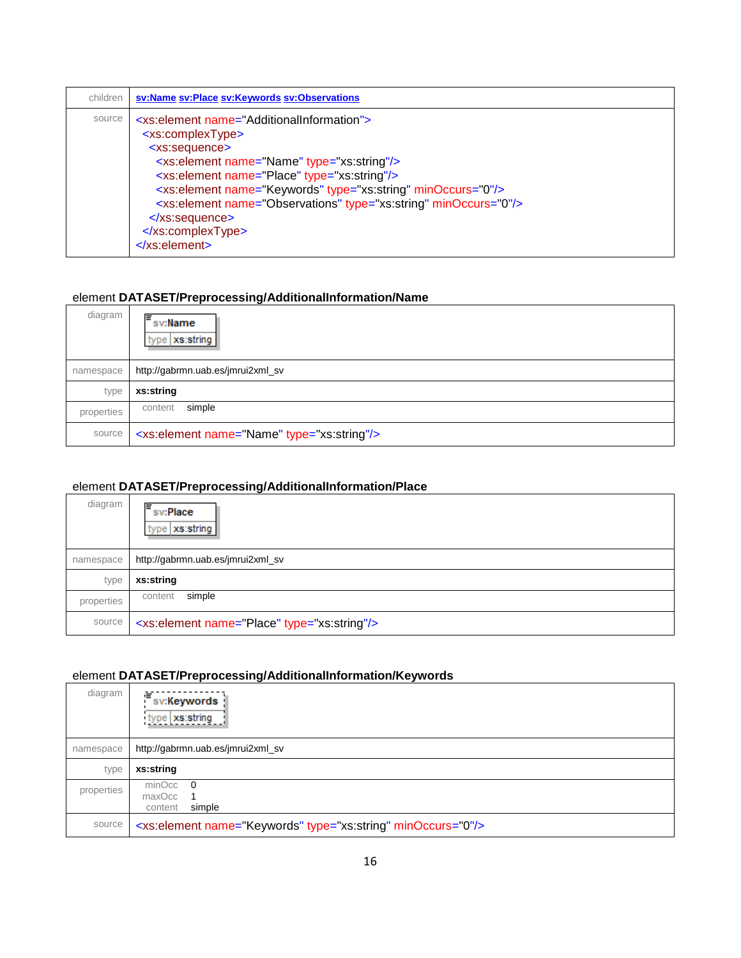| children | sv:Name sv:Place sv:Keywords sv:Observations                                                                                                                                                                                                                                                                                                                                                                                                                                                       |  |  |  |  |
|----------|----------------------------------------------------------------------------------------------------------------------------------------------------------------------------------------------------------------------------------------------------------------------------------------------------------------------------------------------------------------------------------------------------------------------------------------------------------------------------------------------------|--|--|--|--|
| source   | <xs:element name="AdditionalInformation"><br/><xs:complextype><br/><xs:sequence><br/><xs:element name="Name" type="xs:string"></xs:element><br/><xs:element name="Place" type="xs:string"></xs:element><br/><xs:element minoccurs="0" name="Keywords" type="xs:string"></xs:element><br/><xs:element minoccurs="0" name="Observations" type="xs:string"></xs:element><br/><math>\langle</math>xs:sequence&gt;<br/></xs:sequence></xs:complextype><br/><math>\le</math>/xs:element&gt;</xs:element> |  |  |  |  |

# <span id="page-16-0"></span>element **DATASET/Preprocessing/AdditionalInformation/Name**

| diagram    | ⊫<br>sv:Name<br>type   xs:string                       |  |  |  |  |  |
|------------|--------------------------------------------------------|--|--|--|--|--|
| namespace  | http://gabrmn.uab.es/jmrui2xml_sv                      |  |  |  |  |  |
| type       | xs:string                                              |  |  |  |  |  |
| properties | simple<br>content                                      |  |  |  |  |  |
| source     | <xs:element name="Name" type="xs:string"></xs:element> |  |  |  |  |  |

# <span id="page-16-1"></span>element **DATASET/Preprocessing/AdditionalInformation/Place**

| diagram    | sv:Place<br>type   xs:string                            |  |  |  |  |  |
|------------|---------------------------------------------------------|--|--|--|--|--|
| namespace  | http://gabrmn.uab.es/jmrui2xml_sv                       |  |  |  |  |  |
| type       | xs:string                                               |  |  |  |  |  |
| properties | simple<br>content                                       |  |  |  |  |  |
| source     | <xs:element name="Place" type="xs:string"></xs:element> |  |  |  |  |  |

# <span id="page-16-2"></span>element **DATASET/Preprocessing/AdditionalInformation/Keywords**

| diagram    | sv:Keywords<br>type xs:string                                            |  |  |  |  |
|------------|--------------------------------------------------------------------------|--|--|--|--|
| namespace  | http://gabrmn.uab.es/jmrui2xml_sv                                        |  |  |  |  |
| type       | xs:string                                                                |  |  |  |  |
| properties | $minOcc$ 0<br>maxOcc<br>simple<br>content                                |  |  |  |  |
| source     | <xs:element minoccurs="0" name="Keywords" type="xs:string"></xs:element> |  |  |  |  |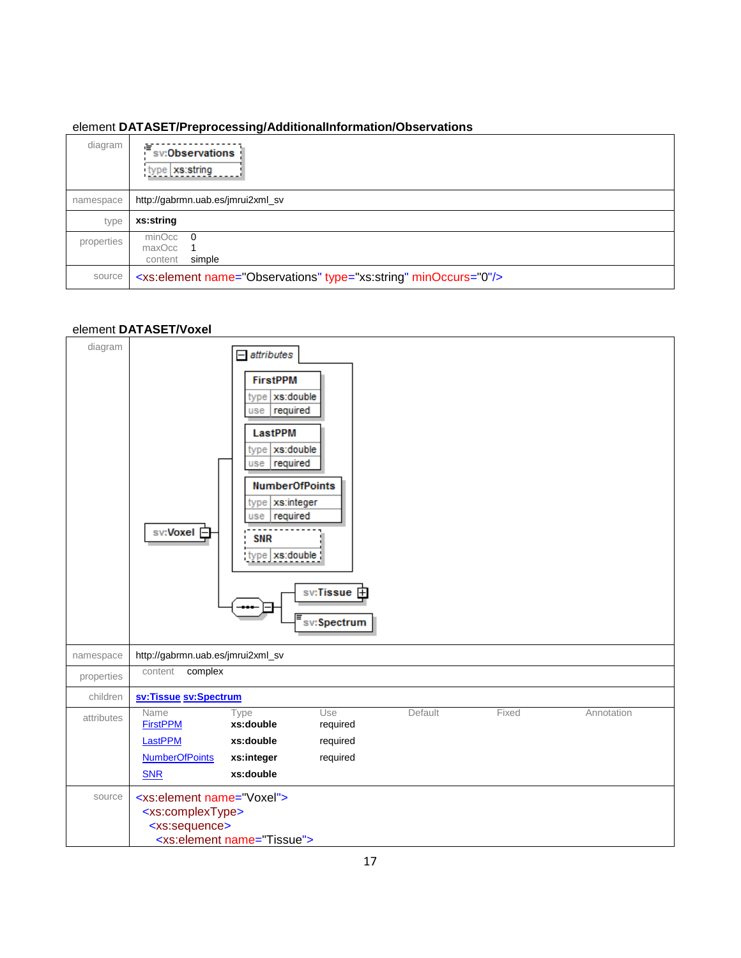#### <span id="page-17-1"></span>element **DATASET/Preprocessing/AdditionalInformation/Observations**

| diagram    | 喧<br>sv:Observations<br>type xs:string                                       |  |  |  |  |  |
|------------|------------------------------------------------------------------------------|--|--|--|--|--|
| namespace  | http://gabrmn.uab.es/jmrui2xml_sv                                            |  |  |  |  |  |
| type       | xs:string                                                                    |  |  |  |  |  |
| properties | $minOcc$ 0<br>maxOcc 1<br>simple<br>content                                  |  |  |  |  |  |
| source     | <xs:element minoccurs="0" name="Observations" type="xs:string"></xs:element> |  |  |  |  |  |

#### <span id="page-17-0"></span>element **DATASET/Voxel**

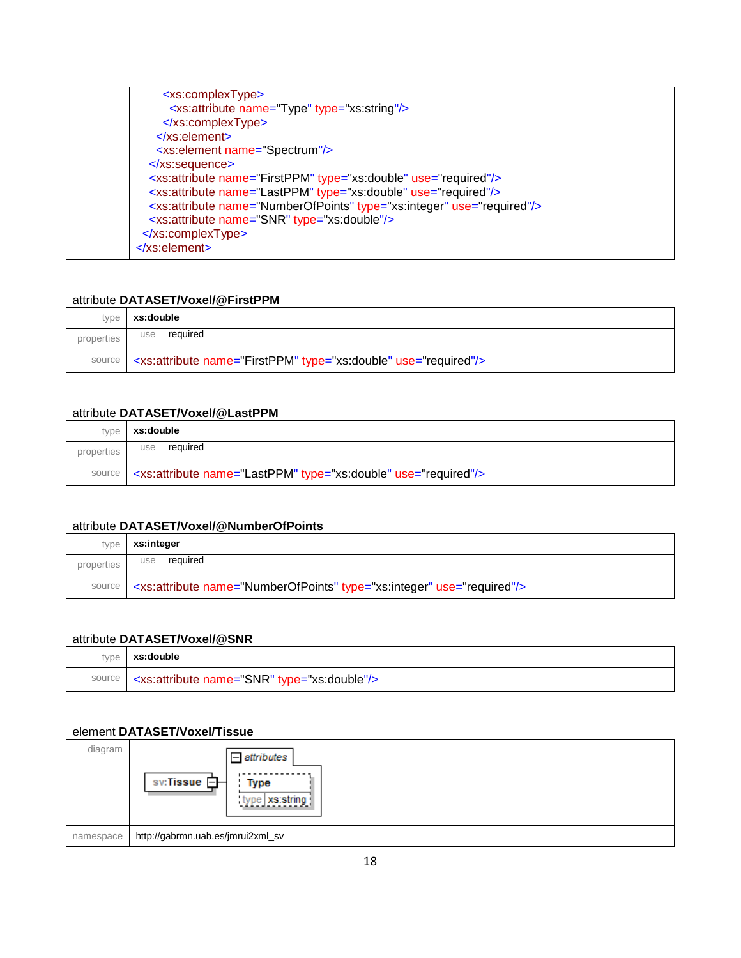| <xs:complextype></xs:complextype>                                                    |
|--------------------------------------------------------------------------------------|
| <xs:attribute name="Type" type="xs:string"></xs:attribute>                           |
| $\langle x \rangle$ s:complexType>                                                   |
| $\langle$ xs:element                                                                 |
| <xs:element name="Spectrum"></xs:element>                                            |
| $\langle$ xs:sequence>                                                               |
| <xs:attribute name="FirstPPM" type="xs:double" use="required"></xs:attribute>        |
| <xs:attribute name="LastPPM" type="xs:double" use="required"></xs:attribute>         |
| <xs:attribute name="NumberOfPoints" type="xs:integer" use="required"></xs:attribute> |
| <xs:attribute name="SNR" type="xs:double"></xs:attribute>                            |
|                                                                                      |
| $\le$ /xs:element>                                                                   |
|                                                                                      |

#### <span id="page-18-1"></span>attribute **DATASET/Voxel/@FirstPPM**

| type       | xs:double                                                                              |
|------------|----------------------------------------------------------------------------------------|
| properties | required<br>use                                                                        |
|            | source   <xs:attribute name="FirstPPM" type="xs:double" use="required"></xs:attribute> |

#### <span id="page-18-2"></span>attribute **DATASET/Voxel/@LastPPM**

| type       | xs:double                                                                             |  |  |  |  |
|------------|---------------------------------------------------------------------------------------|--|--|--|--|
| properties | required<br>use                                                                       |  |  |  |  |
|            | source   <xs:attribute name="LastPPM" type="xs:double" use="required"></xs:attribute> |  |  |  |  |

## <span id="page-18-3"></span>attribute **DATASET/Voxel/@NumberOfPoints**

| type       | xs:integer                                                                                    |
|------------|-----------------------------------------------------------------------------------------------|
| properties | required<br>use                                                                               |
|            | source   <xs:attribute name="NumberOfPoints" type="xs:integer" use="required"></xs:attribute> |

## <span id="page-18-4"></span>attribute **DATASET/Voxel/@SNR**

| type xs:double                                                     |
|--------------------------------------------------------------------|
| source   <xs:attribute name="SNR" type="xs:double"></xs:attribute> |

#### <span id="page-18-0"></span>element **DATASET/Voxel/Tissue**

| diagram   | $=$ attributes<br>sv:Tissue 白<br>Type<br>type xs:string |
|-----------|---------------------------------------------------------|
| namespace | http://gabrmn.uab.es/jmrui2xml_sv                       |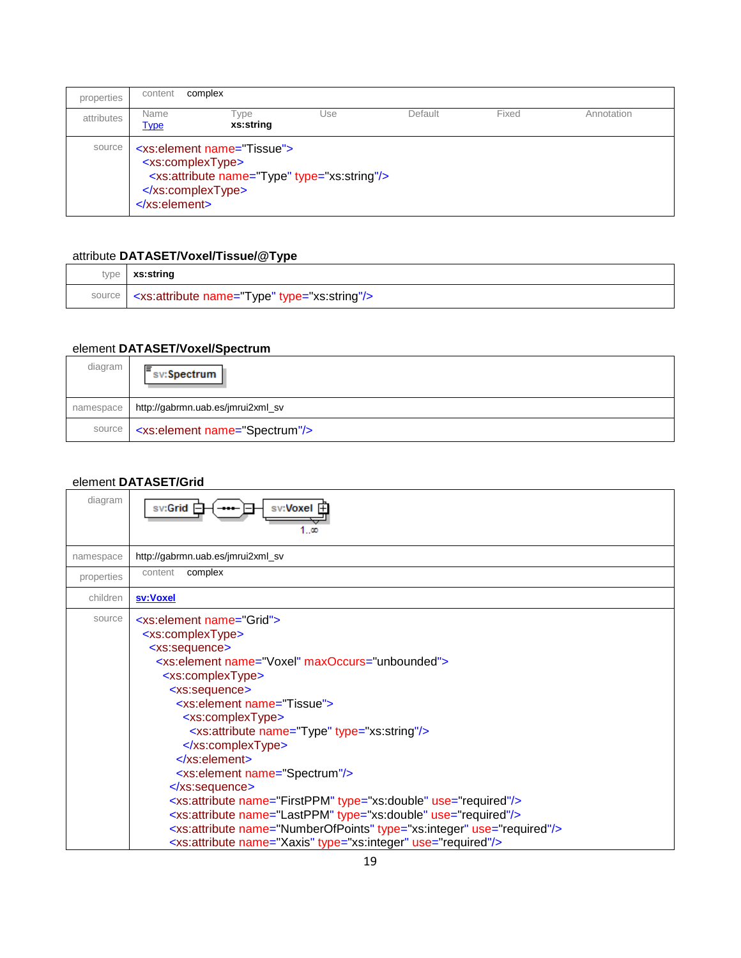| properties | content                                                                                                                                                                                         | complex           |     |         |       |            |
|------------|-------------------------------------------------------------------------------------------------------------------------------------------------------------------------------------------------|-------------------|-----|---------|-------|------------|
| attributes | Name<br><b>Type</b>                                                                                                                                                                             | Type<br>xs:string | Use | Default | Fixed | Annotation |
|            | <xs:element name="Tissue"><br/>source<br/><xs:complextype><br/><xs:attribute name="Type" type="xs:string"></xs:attribute><br/></xs:complextype><br/><math>\langle</math>xs:element</xs:element> |                   |     |         |       |            |

# <span id="page-19-2"></span>attribute **DATASET/Voxel/Tissue/@Type**

| type   xs:string                                                    |
|---------------------------------------------------------------------|
| source   <xs:attribute name="Type" type="xs:string"></xs:attribute> |

# <span id="page-19-1"></span>element **DATASET/Voxel/Spectrum**

| diagram   | sv:Spectrum                                        |
|-----------|----------------------------------------------------|
| namespace | http://gabrmn.uab.es/jmrui2xml_sv                  |
|           | source   <xs:element name="Spectrum"></xs:element> |

# <span id="page-19-0"></span>element **DATASET/Grid**

| diagram    | sv: <b>Voxel F</b><br>sv:Grid<br>1 ແ                                                                                                                                                                                                                                                                                                                                                                                                                                                                                                                                                                                                                                                                                                                                                                                                      |
|------------|-------------------------------------------------------------------------------------------------------------------------------------------------------------------------------------------------------------------------------------------------------------------------------------------------------------------------------------------------------------------------------------------------------------------------------------------------------------------------------------------------------------------------------------------------------------------------------------------------------------------------------------------------------------------------------------------------------------------------------------------------------------------------------------------------------------------------------------------|
| namespace  | http://gabrmn.uab.es/jmrui2xml_sv                                                                                                                                                                                                                                                                                                                                                                                                                                                                                                                                                                                                                                                                                                                                                                                                         |
| properties | complex<br>content                                                                                                                                                                                                                                                                                                                                                                                                                                                                                                                                                                                                                                                                                                                                                                                                                        |
| children   | sv:Voxel                                                                                                                                                                                                                                                                                                                                                                                                                                                                                                                                                                                                                                                                                                                                                                                                                                  |
| source     | $\leq$ xs: element name = Grid" ><br><xs:complextype><br/><xs:sequence><br/><xs:element maxoccurs="unbounded" name="Voxel"><br/><xs:complextype><br/><xs:sequence><br/><xs:element name="Tissue"><br/><xs:complextype><br/><xs:attribute name="Type" type="xs:string"></xs:attribute><br/></xs:complextype><br/><math>\langle</math>xs:element&gt;<br/><xs:element name="Spectrum"></xs:element><br/></xs:element></xs:sequence><br/><xs:attribute name="FirstPPM" type="xs:double" use="required"></xs:attribute><br/><xs:attribute name="LastPPM" type="xs:double" use="required"></xs:attribute><br/><xs:attribute name="NumberOfPoints" type="xs:integer" use="required"></xs:attribute><br/><xs:attribute name="Xaxis" type="xs:integer" use="required"></xs:attribute></xs:complextype></xs:element></xs:sequence></xs:complextype> |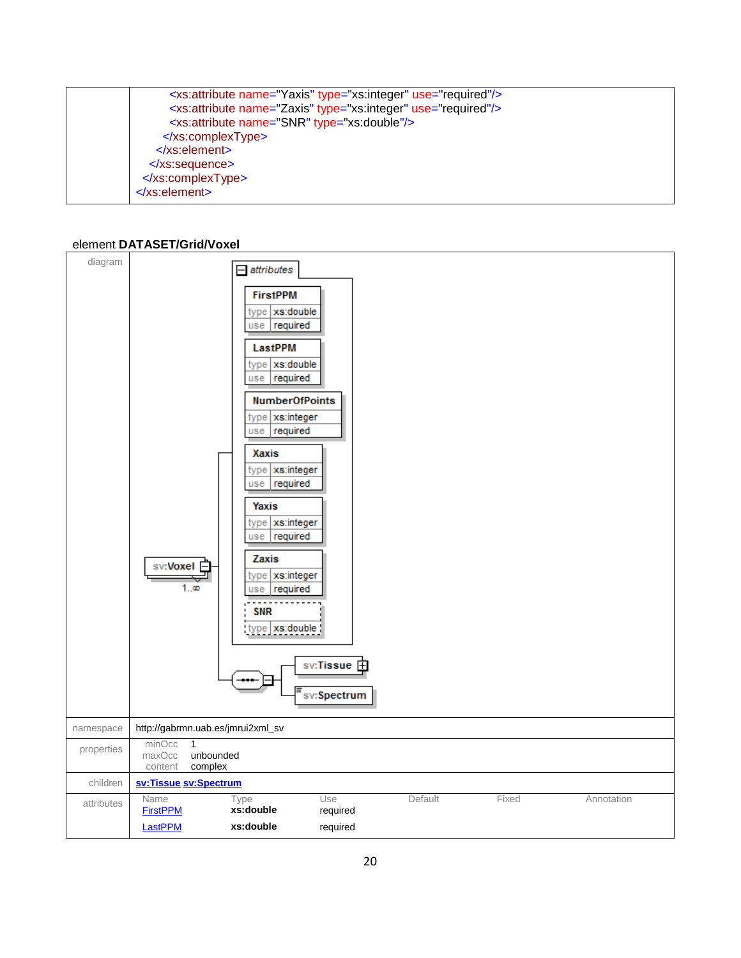| <xs:attribute name="Yaxis" type="xs:integer" use="required"></xs:attribute> |
|-----------------------------------------------------------------------------|
| <xs:attribute name="Zaxis" type="xs:integer" use="required"></xs:attribute> |
| <xs:attribute name="SNR" type="xs:double"></xs:attribute>                   |
| $\langle x \rangle$ s:complexType>                                          |
| $\langle$ xs:element                                                        |
| $\langle$ xs:sequence>                                                      |
|                                                                             |
| $\langle$ xs:element                                                        |
|                                                                             |

#### <span id="page-20-0"></span>element **DATASET/Grid/Voxel**

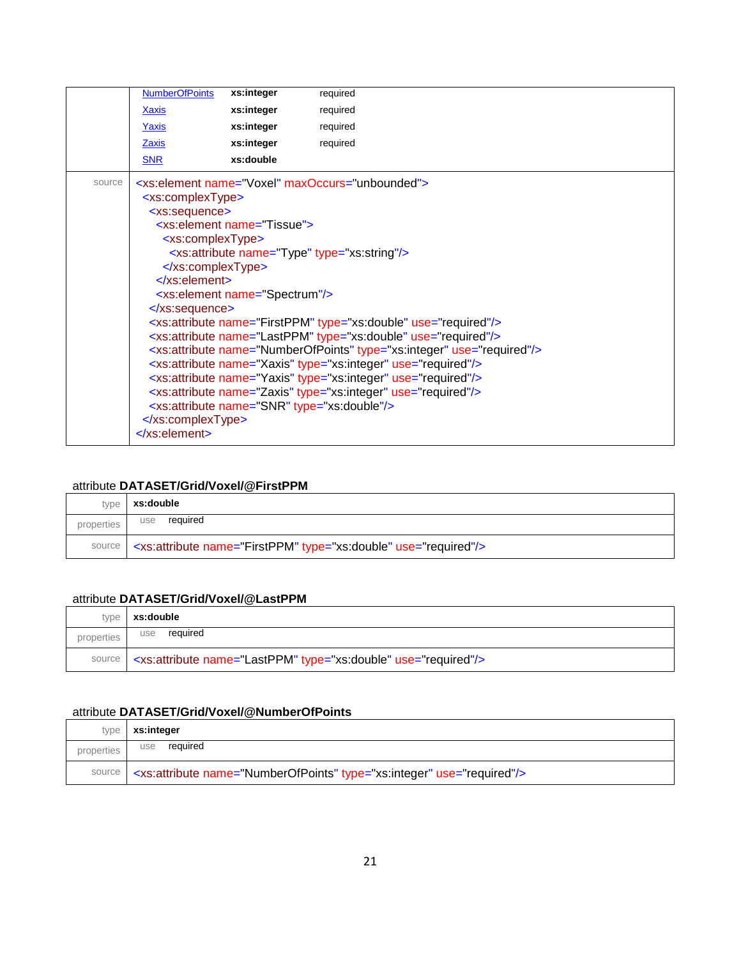|        | <b>NumberOfPoints</b>             | xs:integer                                | required                                                                             |
|--------|-----------------------------------|-------------------------------------------|--------------------------------------------------------------------------------------|
|        | <b>Xaxis</b>                      | xs:integer                                | required                                                                             |
|        | Yaxis                             | xs:integer                                | required                                                                             |
|        | <b>Zaxis</b>                      | xs:integer                                | required                                                                             |
|        | <b>SNR</b>                        | xs:double                                 |                                                                                      |
| source |                                   |                                           | <xs:element maxoccurs="unbounded" name="Voxel"></xs:element>                         |
|        | <xs:complextype></xs:complextype> |                                           |                                                                                      |
|        | <xs:sequence></xs:sequence>       |                                           |                                                                                      |
|        |                                   | <xs:element name="Tissue"></xs:element>   |                                                                                      |
|        | <xs:complextype></xs:complextype> |                                           |                                                                                      |
|        |                                   |                                           | <xs:attribute name="Type" type="xs:string"></xs:attribute>                           |
|        |                                   |                                           |                                                                                      |
|        | $\langle$ xs:element>             |                                           |                                                                                      |
|        |                                   | <xs:element name="Spectrum"></xs:element> |                                                                                      |
|        | $\langle$ xs:sequence>            |                                           | <xs:attribute name="FirstPPM" type="xs:double" use="required"></xs:attribute>        |
|        |                                   |                                           | <xs:attribute name="LastPPM" type="xs:double" use="required"></xs:attribute>         |
|        |                                   |                                           | <xs:attribute name="NumberOfPoints" type="xs:integer" use="required"></xs:attribute> |
|        |                                   |                                           | <xs:attribute name="Xaxis" type="xs:integer" use="required"></xs:attribute>          |
|        |                                   |                                           | <xs:attribute name="Yaxis" type="xs:integer" use="required"></xs:attribute>          |
|        |                                   |                                           | <xs:attribute name="Zaxis" type="xs:integer" use="required"></xs:attribute>          |
|        |                                   |                                           | <xs:attribute name="SNR" type="xs:double"></xs:attribute>                            |
|        |                                   |                                           |                                                                                      |
|        | $\le$ /xs:element>                |                                           |                                                                                      |
|        |                                   |                                           |                                                                                      |

### <span id="page-21-0"></span>attribute **DATASET/Grid/Voxel/@FirstPPM**

| type       | xs:double                                                                              |  |
|------------|----------------------------------------------------------------------------------------|--|
| properties | required<br>use                                                                        |  |
|            | source   <xs:attribute name="FirstPPM" type="xs:double" use="required"></xs:attribute> |  |

#### <span id="page-21-1"></span>attribute **DATASET/Grid/Voxel/@LastPPM**

| type       | xs:double                                                                             |  |
|------------|---------------------------------------------------------------------------------------|--|
| properties | required<br>use                                                                       |  |
|            | source   <xs:attribute name="LastPPM" type="xs:double" use="required"></xs:attribute> |  |

## <span id="page-21-2"></span>attribute **DATASET/Grid/Voxel/@NumberOfPoints**

| type       | xs:integer                                                                           |  |
|------------|--------------------------------------------------------------------------------------|--|
| properties | required<br>use                                                                      |  |
| source     | <xs:attribute name="NumberOfPoints" type="xs:integer" use="required"></xs:attribute> |  |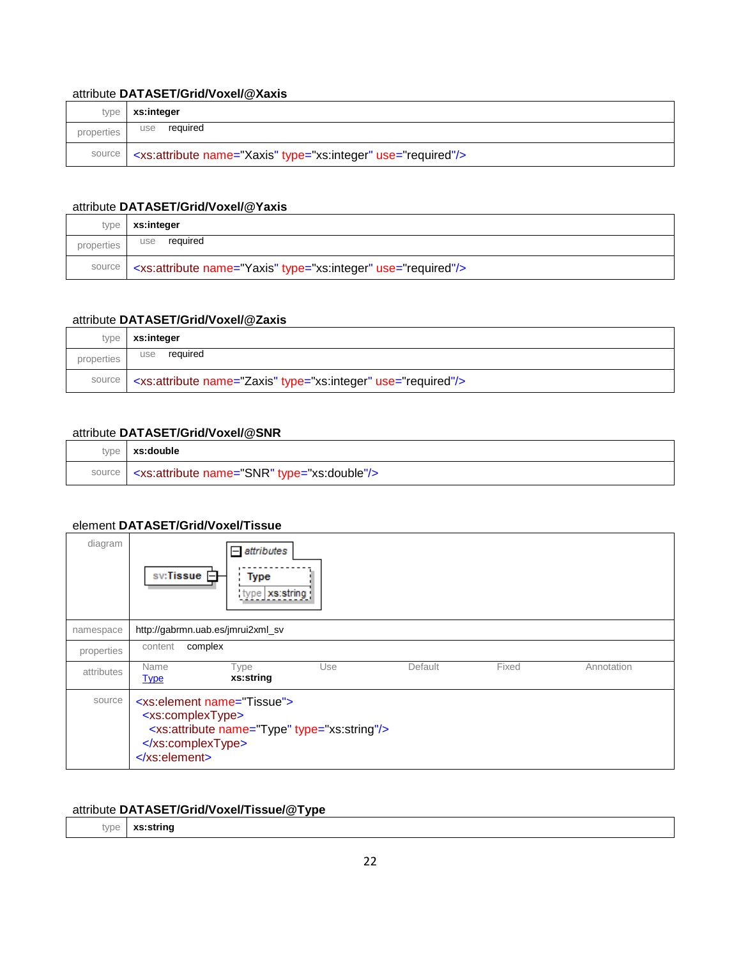## <span id="page-22-1"></span>attribute **DATASET/Grid/Voxel/@Xaxis**

| type       | xs:integer                                                                       |  |
|------------|----------------------------------------------------------------------------------|--|
| properties | required<br>use                                                                  |  |
|            | source   <xs: attribute="" name="Xaxis" type="xs: integer" use="required"></xs:> |  |

## <span id="page-22-2"></span>attribute **DATASET/Grid/Voxel/@Yaxis**

| type       | xs:integer                                                                           |  |
|------------|--------------------------------------------------------------------------------------|--|
| properties | required<br>use                                                                      |  |
|            | source   <xs:attribute name="Yaxis" type="xs:integer" use="required"></xs:attribute> |  |

#### <span id="page-22-3"></span>attribute **DATASET/Grid/Voxel/@Zaxis**

| type       | xs:integer                                                                           |  |
|------------|--------------------------------------------------------------------------------------|--|
| properties | required<br>use                                                                      |  |
|            | source   <xs:attribute name="Zaxis" type="xs:integer" use="required"></xs:attribute> |  |

#### <span id="page-22-4"></span>attribute **DATASET/Grid/Voxel/@SNR**

| type   xs:double                                                 |  |
|------------------------------------------------------------------|--|
| source <xs:attribute name="SNR" type="xs:double"></xs:attribute> |  |

#### <span id="page-22-0"></span>element **DATASET/Grid/Voxel/Tissue**

| diagram    | $=$ attributes<br>$sv:$ Tissue $\Box$<br>Type<br>type   xs:string                                                                                                                     |
|------------|---------------------------------------------------------------------------------------------------------------------------------------------------------------------------------------|
| namespace  | http://gabrmn.uab.es/jmrui2xml_sv                                                                                                                                                     |
| properties | complex<br>content                                                                                                                                                                    |
| attributes | Fixed<br>Type<br>Default<br>Use<br>Annotation<br>Name<br>xs:string<br><b>Type</b>                                                                                                     |
| source     | <xs:element name="Tissue"><br/><xs:complextype><br/><xs:attribute name="Type" type="xs:string"></xs:attribute><br/></xs:complextype><br/><math>\le</math>/xs:element&gt;</xs:element> |

# <span id="page-22-5"></span>attribute **DATASET/Grid/Voxel/Tissue/@Type**

type **xs:string**